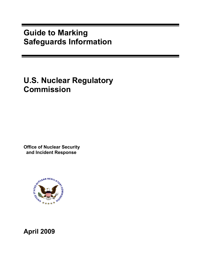## **Guide to Marking Safeguards Information**

# **U.S. Nuclear Regulatory Commission**

**Office of Nuclear Security and Incident Response** 



**April 2009**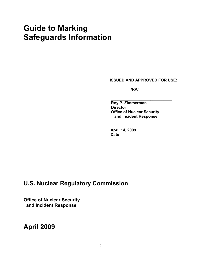## **Guide to Marking Safeguards Information**

**ISSUED AND APPROVED FOR USE:** 

*<i><u> /RA/</u>*  $\sim$  /RA/

**Roy P. Zimmerman Director Office of Nuclear Security and Incident Response** 

**April 14, 2009 Date** 

## **U.S. Nuclear Regulatory Commission**

**Office of Nuclear Security and Incident Response** 

**April 2009**

 **\_\_\_\_\_\_\_\_\_\_\_\_\_\_\_\_\_\_\_\_\_\_\_\_\_\_\_\_**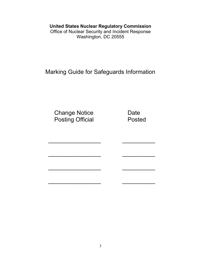### **United States Nuclear Regulatory Commission**

Office of Nuclear Security and Incident Response Washington, DC 20555

Marking Guide for Safeguards Information

Change Notice **Date** Posting Official **Posted** 

 $\mathcal{L}_\text{max} = \mathcal{L}_\text{max} = \mathcal{L}_\text{max} = \mathcal{L}_\text{max} = \mathcal{L}_\text{max} = \mathcal{L}_\text{max} = \mathcal{L}_\text{max}$ 

 $\mathcal{L}_\text{max} = \frac{1}{2} \left[ \frac{1}{2} \frac{1}{2} \frac{1}{2} \frac{1}{2} \frac{1}{2} \frac{1}{2} \frac{1}{2} \frac{1}{2} \frac{1}{2} \frac{1}{2} \frac{1}{2} \frac{1}{2} \frac{1}{2} \frac{1}{2} \frac{1}{2} \frac{1}{2} \frac{1}{2} \frac{1}{2} \frac{1}{2} \frac{1}{2} \frac{1}{2} \frac{1}{2} \frac{1}{2} \frac{1}{2} \frac{1}{2} \frac{1}{2} \frac{1}{2} \frac{1}{2} \frac$ 

 $\mathcal{L}_\text{max} = \mathcal{L}_\text{max} = \mathcal{L}_\text{max} = \mathcal{L}_\text{max} = \mathcal{L}_\text{max} = \mathcal{L}_\text{max} = \mathcal{L}_\text{max}$ 

 $\mathcal{L}_\text{max} = \mathcal{L}_\text{max} = \mathcal{L}_\text{max} = \mathcal{L}_\text{max} = \mathcal{L}_\text{max} = \mathcal{L}_\text{max} = \mathcal{L}_\text{max}$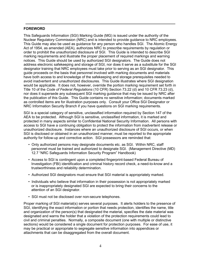#### **FOREWORD**

This Safeguards Information (SGI) Marking Guide (MG) is issued under the authority of the Nuclear Regulatory Commission (NRC) and is intended to provide guidance to NRC employees. This Guide may also be used as guidance for any person who handles SGI. The Atomic Energy Act of 1954, as amended (AEA), authorizes NRC to prescribe requirements by regulation or order to prohibit the unauthorized disclosure of SGI. This Guide is intended to describe SGI marking requirements and illustrate the proper placement of required markings and warning notices. This Guide should be used by authorized SGI designators. The Guide does not address electronic safekeeping and storage of SGI, nor does it serve as a substitute for the SGI designator training that NRC employees must take prior to serving as an SGI designator. This guide proceeds on the basis that personnel involved with marking documents and materials have both access to and knowledge of the safekeeping and storage prerequisites needed to avoid inadvertent and unauthorized disclosures. This Guide illustrates where SGI designation would be applicable. It does not, however, override the portion marking requirement set forth in Title 10 of the *Code of Federal Regulations* (10 CFR) Section 73.22 (d) and 10 CFR 73.23 (d), nor does it supersede any subsequent SGI marking guidance that may be issued by NRC after the publication of this Guide. This Guide contains no sensitive information; documents marked as controlled items are for illustration purposes only. Consult your Office SGI Designator or NRC Information Security Branch if you have questions on SGI marking requirements.

SGI is a special category of sensitive, unclassified information required by Section 147 of the AEA to be protected. Although SGI is sensitive, unclassified information, it is marked and protected in many aspects similar to Confidential National Security Information. All persons with access to SGI have a continuing obligation to protect the information from inadvertent release or unauthorized disclosure. Instances where an unauthorized disclosure of SGI occurs, or when SGI is disclosed or obtained in an unauthorized manner, must be reported to the appropriate authority for follow-up and corrective action. SGI possessors are reminded that:

- Only authorized persons may designate documents etc. as SGI. Within NRC, staff personnel must be trained and authorized to designate SGI. (Management Directive (MD) 12.7 "NRC Safeguards Information Security Program" Handbook)
- Access to SGI is contingent upon a completed fingerprint-based Federal Bureau of Investigation (FBI) identification and criminal history record check, a need-to-know and a trustworthiness and reliability determination.
- Authorized SGI designators must ensure that SGI material is appropriately marked.
- Individuals who believe that information in their possession is not appropriately marked or is inappropriately designated SGI are expected to bring their concerns to the attention of an SGI designator.
- SGI must not be disclosed over non-secure telephones.

Proper marking of SGI material(s) serves several purposes. It alerts holders to the presence of SGI, identifying the exact information or portion that needs protection, identifies the name, title and organization of the person(s) that designated the material, specifies the date material was designated and warns the holder that a violation of the protection requirements could lead to civil and criminal penalties. Normally, a composite document (one with multiple or distinctive sections) would be considered a single document for protection purposes. For ease of use, it may be practical or appropriate to segregate sensitive information into appendices or attachments that can be disaggregated from the overall document.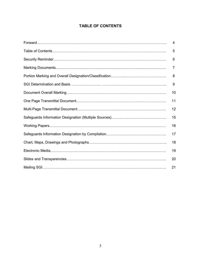### **TABLE OF CONTENTS**

| 4  |
|----|
| 5  |
| 6  |
| 7  |
| 8  |
| 9  |
| 10 |
| 11 |
| 12 |
| 15 |
| 16 |
| 17 |
| 18 |
| 19 |
| 20 |
| 21 |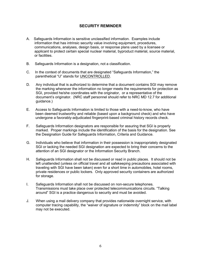### **SECURITY REMINDER**

- A. Safeguards Information is sensitive unclassified information. Examples include information that has intrinsic security value involving equipment, procedures, communications, analyses, design basis, or response plans used by a licensee or applicant to protect certain special nuclear material, byproduct material, source material, or facilities.
- B. Safeguards Information is a designation, not a classification.
- C. In the context of documents that are designated "Safeguards Information," the parenthetical "U" stands for UNCONTROLLED.
- D. Any individual that is authorized to determine that a document contains SGI may remove the marking whenever the information no longer meets the requirements for protection as SGI, provided he/she coordinates with the originator, or a representative of the document's originator. (NRC staff personnel should refer to NRC MD 12.7 for additional guidance.)
- E. Access to Safeguards Information is limited to those with a need-to-know, who have been deemed trustworthy and reliable (based upon a background check) and who have undergone a favorably-adjudicated fingerprint-based criminal history records check.
- F. Safeguards Information designators are responsible for assuring that SGI is properly marked. Proper markings include the identification of the basis for the designation. See the Designation Guide for Safeguards Information, Criteria and Guidance.
- G. Individuals who believe that information in their possession is inappropriately designated SGI or lacking the needed SGI designation are expected to bring their concerns to the attention of an SGI designator or the Information Security Branch.
- H. Safeguards Information shall not be discussed or read in public places. It should not be left unattended (unless on official travel and all safekeeping precautions associated with traveling with SGI have been taken) even for a short time in automobiles, hotel rooms, private residences or public lockers. Only approved security containers are authorized for storage.
- I. Safeguards Information shall not be discussed on non-secure telephones. Transmissions must take place over protected telecommunications circuits. "Talking around" SGI is a practice dangerous to security and must be avoided.
- J. When using a mail delivery company that provides nationwide overnight service, with computer tracing capability, the "waiver of signature or indemnity" block on the mail label may not be executed.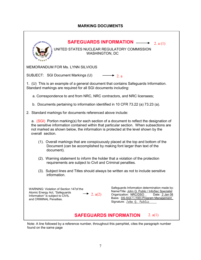### **MARKING DOCUMENTS**

| <b>SAFEGUARDS INFORMATION</b><br>FUGLEAR<br>2. $a(1)$                                                                                                                                                                                                                                         |                                                                                                                                                                                                                      |  |  |  |
|-----------------------------------------------------------------------------------------------------------------------------------------------------------------------------------------------------------------------------------------------------------------------------------------------|----------------------------------------------------------------------------------------------------------------------------------------------------------------------------------------------------------------------|--|--|--|
| UNITED STATES NUCLEAR REGULATORY COMMISSION<br><b>WASHINGTON, DC</b>                                                                                                                                                                                                                          |                                                                                                                                                                                                                      |  |  |  |
| MEMORANDUM FOR Ms. LYNN SILVIOUS                                                                                                                                                                                                                                                              |                                                                                                                                                                                                                      |  |  |  |
| SUBJECT: SGI Document Markings (U)                                                                                                                                                                                                                                                            | $\rightarrow$ 2. a                                                                                                                                                                                                   |  |  |  |
| 1. (U) This is an example of a general document that contains Safeguards Information.<br>Standard markings are required for all SGI documents including:                                                                                                                                      |                                                                                                                                                                                                                      |  |  |  |
| a. Correspondence to and from NRC, NRC contractors, and NRC licensees;                                                                                                                                                                                                                        |                                                                                                                                                                                                                      |  |  |  |
| b. Documents pertaining to information identified in 10 CFR 73.22 (a) 73.23 (a).                                                                                                                                                                                                              |                                                                                                                                                                                                                      |  |  |  |
| 2. Standard markings for documents referenced above include:                                                                                                                                                                                                                                  |                                                                                                                                                                                                                      |  |  |  |
| a. (SGI) Portion marking(s) for each section of a document to reflect the designation of<br>the sensitive information contained within that particular section. When subsections are<br>not marked as shown below, the information is protected at the level shown by the<br>overall section. |                                                                                                                                                                                                                      |  |  |  |
| (1). Overall markings that are conspicuously placed at the top and bottom of the<br>Document (can be accomplished by making font larger than text of the<br>document).                                                                                                                        |                                                                                                                                                                                                                      |  |  |  |
| (2). Warning statement to inform the holder that a violation of the protection<br>requirements are subject to Civil and Criminal penalties.                                                                                                                                                   |                                                                                                                                                                                                                      |  |  |  |
| (3). Subject lines and Titles should always be written as not to include sensitive<br>information.                                                                                                                                                                                            |                                                                                                                                                                                                                      |  |  |  |
| WARNING: Violation of Section 147of the<br>Atomic Energy Act, "Safeguards<br>• 2. $a(2)$<br>Information" is subject to CIVIL<br>and CRIMINAL Penalties.                                                                                                                                       | Safeguards Information determination made by:<br>Name/Title: John Q. Public / InfoSec Specialist<br>Organization: NRC/DSO<br>Date: 2 Jan 08<br>Basis: DS-SGI-1 (100) Program Management<br>Signature: John Q. Public |  |  |  |
| 2. $a(1)$<br><b>SAFEGUARDS INFORMATION</b>                                                                                                                                                                                                                                                    |                                                                                                                                                                                                                      |  |  |  |

 Note: A line followed by a reference number, throughout this pamphlet, cites the paragraph number found on the same page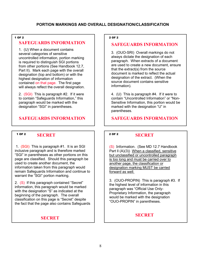#### 1 OF 2

### **SAFEGUARDS INFORMATION**

1. (U) When a document contains several categories of sensitive uncontrolled information, portion marking is required to distinguish SGI portions from other portions (See Handbook 12.7, Part II). Mark each page with the overall designation (top and bottom) or with the highest designation of information contained on that page. The first page will always reflect the overall designation.

2. (SGI) This is paragraph #2. If it were to contain "Safeguards Information," this paragraph would be marked with the designation "SGI" in parentheses.

### **SAFEGUARDS INFORMATION**

### **SECRET**  1 OF 2 2 OF 2

 1. (SGI) This is paragraph #1. It is an SGI inclusive paragraph and is therefore marked "SGI" in parentheses as other portions on this page are classified. Should this paragraph be used to create another document, the information taken from this paragraph would remain Safeguards Information and continue to warrant the "SGI" portion marking.

2. (S) If this paragraph contained "Secret" information, this paragraph would be marked with the designation "S" as indicated at the beginning of the paragraph. The overall classification on this page is "Secret" despite the fact that the page also contains Safeguards

### **SECRET**

#### 2 OF 2

### **SAFEGUARDS INFORMATION**

3. (OUO-SRI) Overall markings do not always dictate the designation of each paragraph. When extracts of a document are used to create a new document, ensure that the extract(s) from the source document is marked to reflect the actual designation of the extract. (When the source document contains sensitive information).

4. (U) This is paragraph #4. If it were to contain "Uncontrolled Information" or "Non-Sensitive Information, this portion would be marked with the designation "U" in parentheses.

**SAFEGUARDS INFORMATION** 

#### **SECRET**

(S) Information. (See MD 12.7 Handbook Part ll (A)(3)) When a classified, sensitive but unclassified or uncontrolled paragraph is too long and must be carried over to another page, the classification or designation marking MUST be carried forward as well.

3. (OUO-PROPIN) This is paragraph #3. If the highest level of information in this paragraph was "Official Use Only-Proprietary Information, the paragraph would be marked with the designation "OUO-PROPIN" in parentheses.

### **SECRET**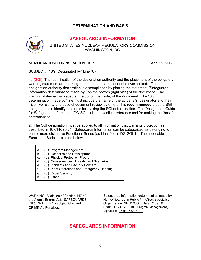### **DETERMINATION AND BASIS**



### **SAFEGUARDS INFORMATION**

UNITED STATES NUCLEAR REGULATORY COMMISSION WASHINGTON, DC

MEMORANDUM FOR NSIR/DSO/DDSP **April 22, 2008** 

SUBJECT: "SGI Designated by" Line (U)

1. (SGI) The identification of the designation authority and the placement of the obligatory warning statement are marking requirements that must not be over-looked. The designation authority declaration is accomplished by placing the statement "Safeguards Information determination made by:" on the bottom (right side) of the document. The warning statement is placed at the bottom, left side, of the document. The "SGI determination made by" line must include the name of the actual SGI designator and their Title. For clarity and ease of document review by others, it is **recommended** that the SGI designator also identify the basis for making the SGI determination. The Designation Guide for Safeguards Information (DG-SGI-1) is an excellent reference tool for making the "basis" determination.

2. The SGI designation must be applied to all information that warrants protection as described in 10 CFR 73.21. Safeguards Information can be categorized as belonging to one or more distinctive Functional Series (as identified in DG-SGI-1). The applicable Functional Series are listed below.

| a. |  | (U) Program Management |
|----|--|------------------------|
|    |  |                        |

- b. (U) Research and Development
- c. (U) Physical Protection Program
- d. (U) Consequences, Threats, and Scenarios.
- e. (U) Incidents and Security Concern
- f. (U) Plant Operations and Emergency Planning.
- g. (U) Cyber Security
- h. (U) Other

WARNING: Violation of Section 147 of the Atomic Energy Act, "SAFEGUARDS INFORMATION" is subject Civil and CRIMINAL Penalties.

Safeguards Information determination made by: Name/Title: John Public / InfoSec. Specialist Organization: NRC/DSO Date: 3 Jan 07 Basis: DG-SGI-1 (100) Program Management\_ Signature: *John Public* 

### **SAFEGUARDS INFORMATION**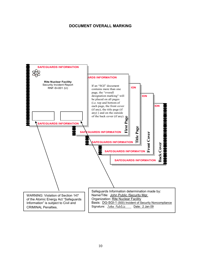### **DOCUMENT OVERALL MARKING**

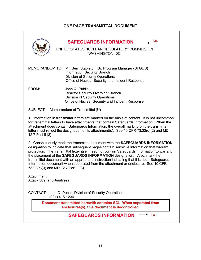### **ONE PAGE TRANSMITTAL DOCUMENT**

| ANDCLEAR REGULA                                | 1.a.<br><b>SAFEGUARDS INFORMATION ____</b><br>UNITED STATES NUCLEAR REGULATORY COMMISSION<br><b>WASHINGTON, DC</b>                                                                                                                                                                                                                                                                                                                                                                                                                       |  |  |  |
|------------------------------------------------|------------------------------------------------------------------------------------------------------------------------------------------------------------------------------------------------------------------------------------------------------------------------------------------------------------------------------------------------------------------------------------------------------------------------------------------------------------------------------------------------------------------------------------------|--|--|--|
| <b>MEMORANDUM TO:</b>                          | Mr. Bern Stapleton, Sr. Program Manager (SFGDS)<br><b>Information Security Branch</b><br><b>Division of Security Operations</b><br>Office of Nuclear Security and Incident Response                                                                                                                                                                                                                                                                                                                                                      |  |  |  |
| FROM:                                          | John Q. Public<br><b>Reactor Security Oversight Branch</b><br><b>Division of Security Operations</b><br>Office of Nuclear Security and Incident Response                                                                                                                                                                                                                                                                                                                                                                                 |  |  |  |
|                                                | SUBJECT: Memorandum of Transmittal (U)                                                                                                                                                                                                                                                                                                                                                                                                                                                                                                   |  |  |  |
| 12.7 Part II (3).                              | 1. Information in transmittal letters are marked on the basis of content. It is not uncommon<br>for transmittal letters to have attachments that contain Safeguards Information. When the<br>attachment does contain Safeguards Information, the overall marking on the transmittal<br>letter must reflect the designation of its attachment(s). See 10 CFR 73.22(d)(2) and MD                                                                                                                                                           |  |  |  |
| 73.22(d)(3) and MD 12.7 Part II (3).           | 2. Conspicuously mark the transmittal document with the SAFEGUARDS INFORMATION<br>designation to indicate that subsequent pages contain sensitive information that warrant<br>protection. The transmittal letter itself need not contain Safeguards Information to warrant<br>the placement of the SAFEGUARDS INFORMATION designation. Also, mark the<br>transmittal document with an appropriate instruction indicating that it is not a Safeguards<br>Information document when separated from the attachment or enclosure. See 10 CFR |  |  |  |
| Attachment:<br><b>Attack Scenario Analyses</b> |                                                                                                                                                                                                                                                                                                                                                                                                                                                                                                                                          |  |  |  |
| (301) 415-1234                                 | CONTACT: John Q. Public, Division of Security Operations                                                                                                                                                                                                                                                                                                                                                                                                                                                                                 |  |  |  |
|                                                | Document transmitted herewith contains SGI. When separated from<br>enclosures(s), this document is decontrolled.                                                                                                                                                                                                                                                                                                                                                                                                                         |  |  |  |
|                                                | 1.a.<br><b>SAFEGUARDS INFORMATION</b>                                                                                                                                                                                                                                                                                                                                                                                                                                                                                                    |  |  |  |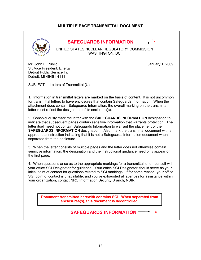### **MULTIPLE PAGE TRANSMITTAL DOCUMENT**



### **SAFEGUARDS INFORMATION** 1.

UNITED STATES NUCLEAR REGULATORY COMMISSION WASHINGTON, DC

Mr. John F. Public **Mr. John F. Public** 3009 Sr. Vice President, Energy Detroit Public Service Inc. Detroit, MI 45451-4111

SUBJECT: Letters of Transmittal (U)

1. Information in transmittal letters are marked on the basis of content. It is not uncommon for transmittal letters to have enclosures that contain Safeguards Information. When the attachment does contain Safeguards Information, the overall marking on the transmittal letter must reflect the designation of its enclosure(s).

2. Conspicuously mark the letter with the **SAFEGUARDS INFORMATION** designation to indicate that subsequent pages contain sensitive information that warrants protection. The letter itself need not contain Safeguards Information to warrant the placement of the **SAFEGUARDS INFORMATION** designation. Also, mark the transmittal document with an appropriate instruction indicating that it is not a Safeguards Information document when separated from the enclosure.

3. When the letter consists of multiple pages and the letter does not otherwise contain sensitive information, the designation and the instructional guidance need only appear on the first page.

4. When questions arise as to the appropriate markings for a transmittal letter, consult with your office SGI Designator for guidance. Your office SGI Designator should serve as your initial point of contact for questions related to SGI markings. If for some reason, your office SGI point of contact is unavailable, and you've exhausted all avenues for assistance within your organization, contact NRC Information Security Branch, NSIR.

**Document transmitted herewith contains SGI. When separated from enclosures(s), this document is decontrolled.**

#### **SAFEGUARDS INFORMATION**  $\rightarrow$  1.a.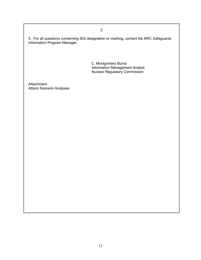5. For all questions concerning SGI designation or marking, contact the NRC Safeguards Information Program Manager.

 C. Montgomery Burns Information Management Analyst Nuclear Regulatory Commission

Attachment: Attack Scenario Analyses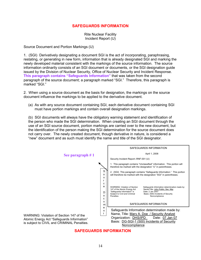### **SAFEGUARDS INFORMATION**

Rite Nuclear Facility Incident Report (U)

Source Document and Portion Markings (U)

1. (SGI) Derivatively designating a document SGI is the act of incorporating, paraphrasing, restating, or generating in new form, information that is already designated SGI and marking the newly developed material consistent with the markings of the source information. The source information ordinarily consists of an SGI document or documents, or the SGI designation guide issued by the Division of Nuclear Security, Office of Nuclear Security and Incident Response. **This paragraph contains "Safeguards Information"** that was taken from the second paragraph of the source document; a paragraph marked "SGI." Therefore, this paragraph is marked "SGI."

2. When using a source document as the basis for designation, the markings on the source document influence the markings to be applied to the derivative document.

(a) As with any source document containing SGI, each derivative document containing SGI must have portion markings and contain overall designation markings.

(b) SGI documents will always have the obligatory warning statement and identification of the person who made the SGI determination. When creating an SGI document through the use of an SGI source document, portion markings are carried over to the new document, but the identification of the person making the SGI determination for the source document does not carry over. The newly created document, though derivative in nature, is considered a "new" document and as such must identify the name and title of the SGI designator.



**SAFEGUARDS INFORMATION**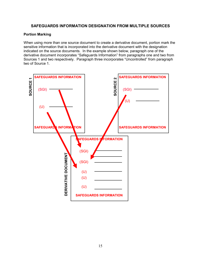### **SAFEGUARDS INFORMATION DESIGNATION FROM MULTIPLE SOURCES**

#### **Portion Marking**

When using more than one source document to create a derivative document, portion mark the sensitive information that is incorporated into the derivative document with the designation indicated on the source documents. In the example shown below, paragraph one of the derivative document incorporates "Safeguards Information" from paragraphs one and two from Sources 1 and two respectively. Paragraph three incorporates "Uncontrolled" from paragraph two of Source 1.

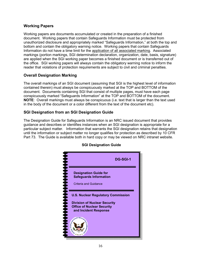### **Working Papers**

Working papers are documents accumulated or created in the preparation of a finished document. Working papers that contain Safeguards Information must be protected from unauthorized disclosure and appropriately marked "Safeguards Information," at both the top and bottom and contain the obligatory warning notice. Working papers that contain Safeguards Information do not have a time limit for the application of all associated marking. Associated markings (portion markings, SGI determination declaration, organization, date, basis, signature) are applied when the SGI working paper becomes a finished document or is transferred out of the office. SGI working papers will always contain the obligatory warning notice to inform the reader that violations of protection requirements are subject to civil and criminal penalties.

### **Overall Designation Marking**

The overall markings of an SGI document (assuming that SGI is the highest level of information contained therein) must always be conspicuously marked at the TOP and BOTTOM of the document. Documents containing SGI that consist of multiple pages, must have each page conspicuously marked "Safeguards Information" at the TOP and BOTTOM of the document. **NOTE**: Overall markings must always be conspicuous (i.e. text that is larger than the text used in the body of the document or a color different from the text of the document etc).

### **SGI Designation from an SGI Designation Guide**

The Designation Guide for Safeguards Information is an NRC issued document that provides guidance and describes or identifies instances when an SGI designation is appropriate for a particular subject matter. Information that warrants the SGI designation retains that designation until the information or subject matter no longer qualifies for protection as described by 10 CFR Part 73. The Guide is available both in hard copy or may be viewed on NRC intranet website.



### **SGI Designation Guide**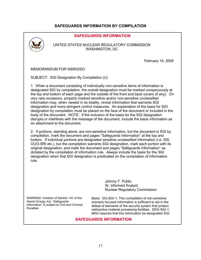### **SAFEGUARDS INFORMATION BY COMPILATION**



Atomic Energy Act, "Safeguards Information" is subject to Civil and Criminal **Penalties** 

scenario focused information is sufficient to aid in the defeat of elements of the security system that protect radioactive material processing facilities. SDG-SGI-1; #453 requires that this information be designated SGI.

### **SAFEGUARDS INFORMATION**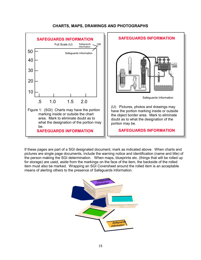

#### **CHARTS, MAPS, DRAWINGS AND PHOTOGRAPHS**

If these pages are part of a SGI designated document, mark as indicated above. When charts and pictures are single page documents, include the warning notice and identification (name and title) of the person making the SGI determination. When maps, blueprints etc. (things that will be rolled up for storage) are used, aside from the markings on the face of the item, the backside of the rolled item must also be marked. Wrapping an SGI Coversheet around the rolled item is an acceptable means of alerting others to the presence of Safeguards Information.

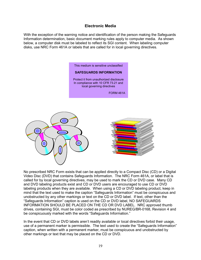### **Electronic Media**

With the exception of the warning notice and identification of the person making the Safeguards Information determination, basic document marking rules apply to computer media. As shown below, a computer disk must be labeled to reflect its SGI content. When labeling computer disks, use NRC Form 461A or labels that are called for in local governing directives.

> This medium is sensitive unclassified **SAFEGUARDS INFORMATION**  Protect it from unauthorized disclosure In compliance with 10 CFR 73.21 and local governing directives FORM 461A



No prescribed NRC Form exists that can be applied directly to a Compact Disc (CD) or a Digital Video Disc (DVD) that contains Safeguards Information. The NRC Form 461A, or label that is called for by local governing directives, may be used to mark the CD or DVD case. Many CD and DVD labeling products exist and CD or DVD users are encouraged to use CD or DVD labeling products when they are available. When using a CD or DVD labeling product, keep in mind that the text used to make the caption "Safeguards Information" must be conspicuous and unobstructed by any other markings or text on the CD or DVD label. If text, other than the "Safeguards Information" caption is used on the CD or DVD label, NO SAFEGUARDS INFORMATION SHOULD BE PLACED ON THE CD OR DVD LABEL. NRC approved thumb drives, containing SGI, must be color coded as prescribed by NUREG/BR-0168, Revision 4 and be conspicuously marked with the words "Safeguards Information."

In the event that CD or DVD labels aren't readily available or local directives forbid their usage, use of a permanent marker is permissible. The text used to create the "Safeguards Information" caption, when written with a permanent marker, must be conspicuous and unobstructed by other markings or text that may be placed on the CD or DVD.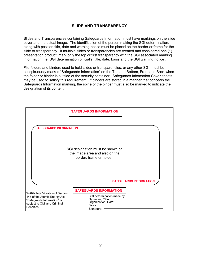### **SLIDE AND TRANSPARENCY**

Slides and Transparencies containing Safeguards Information must have markings on the slide cover and the actual image. The identification of the person making the SGI determination, along with position title, date and warning notice must be placed on the border or frame for the slide or transparency. If multiple slides or transparencies are created and considered one (1) presentation product, mark only the top or first transparency with the SGI associated marking information (i.e. SGI determination official's, title, date, basis and the SGI warning notice).

File folders and binders used to hold slides or transparencies, or any other SGI, must be conspicuously marked "Safeguards Information" on the Top and Bottom, Front and Back when the folder or binder is outside of the security container. Safeguards Information Cover sheets may be used to satisfy this requirement. If binders are stored in a manner that conceals the Safeguards Information marking, the spine of the binder must also be marked to indicate the designation of its content.

|                                                                                                             | <b>SAFEGUARDS INFORMATION</b>                                                                  |  |  |
|-------------------------------------------------------------------------------------------------------------|------------------------------------------------------------------------------------------------|--|--|
| <b>SAFEGUARDS INFORMATION</b>                                                                               |                                                                                                |  |  |
| SGI designation must be shown on<br>the image area and also on the<br>border, frame or holder.              |                                                                                                |  |  |
|                                                                                                             | <b>SAFEGUARDS INFORMATION</b>                                                                  |  |  |
| <b>WARNING: Violation of Section</b>                                                                        | <b>SAFEGUARDS INFORMATION</b>                                                                  |  |  |
| 147 of the Atomic Energy Act,<br>"Safeguards Information" is<br>subject to Civil and Criminal<br>Penalties. | SGI determination made by:<br>Name and Title: -<br>Organization, Date:<br>Basis:<br>Signature: |  |  |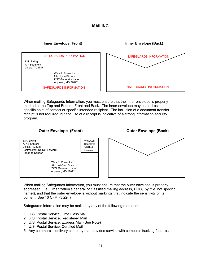#### **MAILING**

#### **Inner Envelope (Front) Inner Envelope (Back)**

SAFEGUARDS INFORMATION

J. R. Ewing 777 Southfork Dallas, TX 87871

> We - R. Power Inc. Attn: Lynn Silvious 7277 Generator Lane Anytown, MD 22822

SAFEGUARDS INFORMATION



When mailing Safeguards Information, you must ensure that the inner envelope is properly marked at the Top and Bottom, Front and Back. The inner envelope may be addressed to a specific point of contact or specific intended recipient. The inclusion of a document transfer receipt is not required, but the use of a receipt is indicative of a strong information security program.

### **Outer Envelope (Front) Canadia Contract Contract Contract Contract Contract Contract Contract Contract Contract Contract Contract Contract Contract Contract Contract Contract Contract Contract Contract Contract Contract**



When mailing Safeguards Information, you must ensure that the outer envelope is properly addressed, (i.e. Organization's general or classified mailing address, POC, [by title, not specific name]), and that the outer envelope is without markings that indicate the sensitivity of its content. See 10 CFR 73.22(f)

Safeguards Information may be mailed by any of the following methods:

- 1. U.S. Postal Service, First Class Mail
- 2. U.S. Postal Service, Registered Mail
- 3. U.S. Postal Service, Express Mail (See Note)
- 4. U.S. Postal Service, Certified Mail
- 5. Any commercial delivery company that provides service with computer tracking features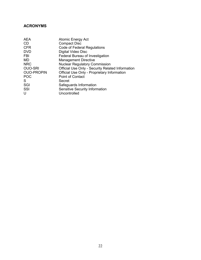### **ACRONYMS**

| <b>Atomic Energy Act</b>                         |
|--------------------------------------------------|
| <b>Compact Disc</b>                              |
| Code of Federal Regulations                      |
| Digital Video Disc                               |
| Federal Bureau of Investigation                  |
| <b>Management Directive</b>                      |
| <b>Nuclear Regulatory Commission</b>             |
| Official Use Only - Security Related Information |
| Official Use Only - Proprietary Information      |
| <b>Point of Contact</b>                          |
| Secret                                           |
| Safeguards Information                           |
| Sensitive Security Information                   |
| Uncontrolled                                     |
|                                                  |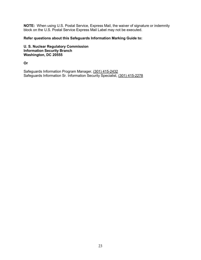**NOTE:** When using U.S. Postal Service, Express Mail, the waiver of signature or indemnity block on the U.S. Postal Service Express Mail Label may not be executed.

#### **Refer questions about this Safeguards Information Marking Guide to:**

**U. S. Nuclear Regulatory Commission Information Security Branch Washington, DC 20555** 

**Or** 

Safeguards Information Program Manager, (301) 415-2432 Safeguards Information Sr. Information Security Specialist, (301) 415-2278